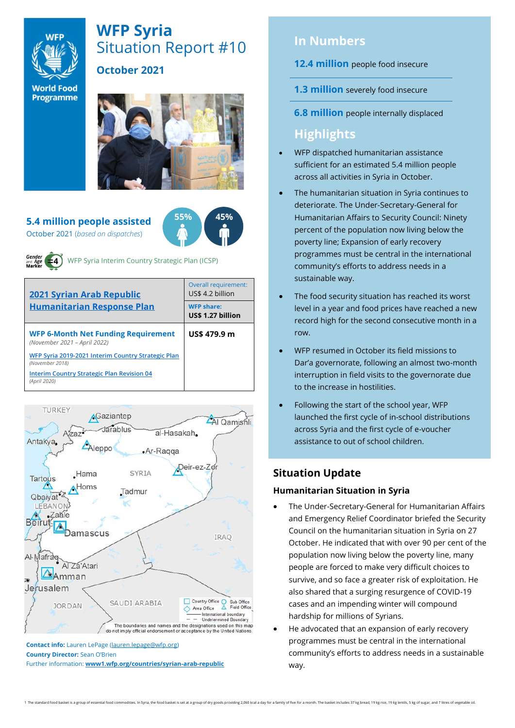

# **WFP Syria** Situation Report #10

# **October 2021**

**World Food** Programme



#### **5.4 million people assisted** October 2021 (*based on dispatches*)



WFP Syria Interim Country Strategic Plan (ICSP)

| <b>2021 Syrian Arab Republic</b>                                           | <b>Overall requirement:</b><br>US\$ 4.2 billion |  |
|----------------------------------------------------------------------------|-------------------------------------------------|--|
| <b>Humanitarian Response Plan</b>                                          | <b>WFP share:</b><br>US\$ 1.27 billion          |  |
| <b>WFP 6-Month Net Funding Requirement</b><br>(November 2021 - April 2022) | US\$ 479.9 m                                    |  |
| WFP Syria 2019-2021 Interim Country Strategic Plan<br>(November 2018)      |                                                 |  |
| <b>Interim Country Strategic Plan Revision 04</b><br>(April 2020)          |                                                 |  |



**Country Director:** Sean O'Brien Further information: **[www1.wfp.org/countries/syrian-arab-republic](file:///C:/Users/lauren.lepage/AppData/Local/Microsoft/Windows/INetCache/Content.Outlook/HTRVWXQN/www1.wfp.org/countries/syrian-arab-republic)**

# **In Numbers**

**12.4 million** people food insecure

- **1.3 million** severely food insecure
- **6.8 million** people internally displaced

# **Highlights**

- WFP dispatched humanitarian assistance sufficient for an estimated 5.4 million people across all activities in Syria in October.
- The humanitarian situation in Syria continues to deteriorate. The Under-Secretary-General for Humanitarian Affairs to Security Council: Ninety percent of the population now living below the poverty line; Expansion of early recovery programmes must be central in the international community's efforts to address needs in a sustainable way.
- The food security situation has reached its worst level in a year and food prices have reached a new record high for the second consecutive month in a row.
- WFP resumed in October its field missions to Dar'a governorate, following an almost two-month interruption in field visits to the governorate due to the increase in hostilities.
- Following the start of the school year, WFP launched the first cycle of in-school distributions across Syria and the first cycle of e-voucher assistance to out of school children.

# **Situation Update**

## **Humanitarian Situation in Syria**

- The Under-Secretary-General for Humanitarian Affairs and Emergency Relief Coordinator briefed the Security Council on the humanitarian situation in Syria on 27 October. He indicated that with over 90 per cent of the population now living below the poverty line, many people are forced to make very difficult choices to survive, and so face a greater risk of exploitation. He also shared that a surging resurgence of COVID-19 cases and an impending winter will compound hardship for millions of Syrians.
- He advocated that an expansion of early recovery programmes must be central in the international community's efforts to address needs in a sustainable way.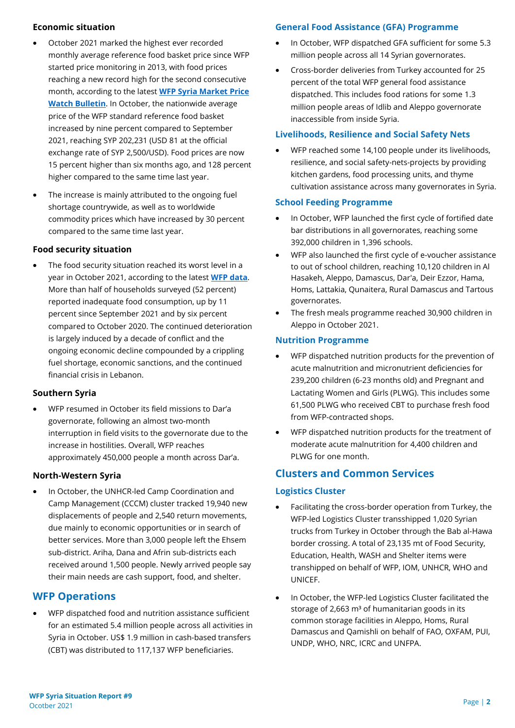#### **Economic situation**

- October 2021 marked the highest ever recorded monthly average reference food basket price since WFP started price monitoring in 2013, with food prices reaching a new record high for the second consecutive month, according to the latest **[WFP Syria Market Price](https://reliefweb.int/report/syrian-arab-republic/syria-country-office-market-price-watch-bulletin-issue-83-october-2021)  [Watch Bulletin](https://reliefweb.int/report/syrian-arab-republic/syria-country-office-market-price-watch-bulletin-issue-83-october-2021)**. In October, the nationwide average price of the WFP standard reference food basket increased by nine percent compared to September 2021, reaching SYP 202,231 (USD 81 at the official exchange rate of SYP 2,500/USD). Food prices are now 15 percent higher than six months ago, and 128 percent higher compared to the same time last year.
- The increase is mainly attributed to the ongoing fuel shortage countrywide, as well as to worldwide commodity prices which have increased by 30 percent compared to the same time last year.

#### **Food security situation**

The food security situation reached its worst level in a year in October 2021, according to the latest **[WFP data](https://reliefweb.int/report/syrian-arab-republic/syria-mvam-bulletin-60-october-2021)**. More than half of households surveyed (52 percent) reported inadequate food consumption, up by 11 percent since September 2021 and by six percent compared to October 2020. The continued deterioration is largely induced by a decade of conflict and the ongoing economic decline compounded by a crippling fuel shortage, economic sanctions, and the continued financial crisis in Lebanon.

#### **Southern Syria**

• WFP resumed in October its field missions to Dar'a governorate, following an almost two-month interruption in field visits to the governorate due to the increase in hostilities. Overall, WFP reaches approximately 450,000 people a month across Dar'a.

#### **North-Western Syria**

• In October, the UNHCR-led Camp Coordination and Camp Management (CCCM) cluster tracked 19,940 new displacements of people and 2,540 return movements, due mainly to economic opportunities or in search of better services. More than 3,000 people left the Ehsem sub-district. Ariha, Dana and Afrin sub-districts each received around 1,500 people. Newly arrived people say their main needs are cash support, food, and shelter.

## **WFP Operations**

• WFP dispatched food and nutrition assistance sufficient for an estimated 5.4 million people across all activities in Syria in October. US\$ 1.9 million in cash-based transfers (CBT) was distributed to 117,137 WFP beneficiaries.

#### **General Food Assistance (GFA) Programme**

- In October, WFP dispatched GFA sufficient for some 5.3 million people across all 14 Syrian governorates.
- Cross-border deliveries from Turkey accounted for 25 percent of the total WFP general food assistance dispatched. This includes food rations for some 1.3 million people areas of Idlib and Aleppo governorate inaccessible from inside Syria.

#### **Livelihoods, Resilience and Social Safety Nets**

• WFP reached some 14,100 people under its livelihoods, resilience, and social safety-nets-projects by providing kitchen gardens, food processing units, and thyme cultivation assistance across many governorates in Syria.

#### **School Feeding Programme**

- In October, WFP launched the first cycle of fortified date bar distributions in all governorates, reaching some 392,000 children in 1,396 schools.
- WFP also launched the first cycle of e-voucher assistance to out of school children, reaching 10,120 children in Al Hasakeh, Aleppo, Damascus, Dar'a, Deir Ezzor, Hama, Homs, Lattakia, Qunaitera, Rural Damascus and Tartous governorates.
- The fresh meals programme reached 30,900 children in Aleppo in October 2021.

#### **Nutrition Programme**

- WFP dispatched nutrition products for the prevention of acute malnutrition and micronutrient deficiencies for 239,200 children (6-23 months old) and Pregnant and Lactating Women and Girls (PLWG). This includes some 61,500 PLWG who received CBT to purchase fresh food from WFP-contracted shops.
- WFP dispatched nutrition products for the treatment of moderate acute malnutrition for 4,400 children and PLWG for one month.

## **Clusters and Common Services**

#### **Logistics Cluster**

- Facilitating the cross-border operation from Turkey, the WFP-led Logistics Cluster transshipped 1,020 Syrian trucks from Turkey in October through the Bab al-Hawa border crossing. A total of 23,135 mt of Food Security, Education, Health, WASH and Shelter items were transhipped on behalf of WFP, IOM, UNHCR, WHO and UNICEF.
- In October, the WFP-led Logistics Cluster facilitated the storage of 2,663  $m<sup>3</sup>$  of humanitarian goods in its common storage facilities in Aleppo, Homs, Rural Damascus and Qamishli on behalf of FAO, OXFAM, PUI, UNDP, WHO, NRC, ICRC and UNFPA.